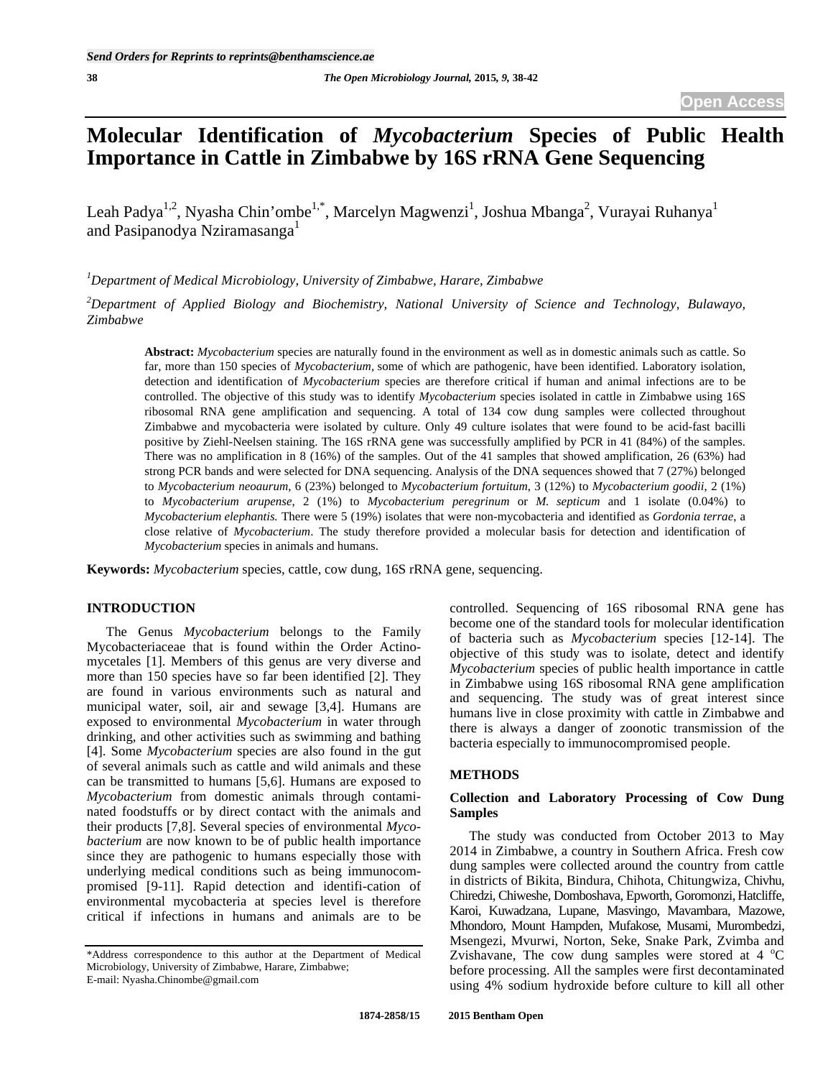# **Molecular Identification of** *Mycobacterium* **Species of Public Health Importance in Cattle in Zimbabwe by 16S rRNA Gene Sequencing**

Leah Padya $^{1,2}$ , Nyasha Chin'ombe $^{1,*}$ , Marcelyn Magwenzi $^1$ , Joshua Mbanga $^2$ , Vurayai Ruhanya $^1$ and Pasipanodya Nziramasanga<sup>1</sup>

*1 Department of Medical Microbiology, University of Zimbabwe, Harare, Zimbabwe* 

*2 Department of Applied Biology and Biochemistry, National University of Science and Technology, Bulawayo, Zimbabwe* 

**Abstract:** *Mycobacterium* species are naturally found in the environment as well as in domestic animals such as cattle. So far, more than 150 species of *Mycobacterium,* some of which are pathogenic, have been identified. Laboratory isolation, detection and identification of *Mycobacterium* species are therefore critical if human and animal infections are to be controlled. The objective of this study was to identify *Mycobacterium* species isolated in cattle in Zimbabwe using 16S ribosomal RNA gene amplification and sequencing. A total of 134 cow dung samples were collected throughout Zimbabwe and mycobacteria were isolated by culture. Only 49 culture isolates that were found to be acid-fast bacilli positive by Ziehl-Neelsen staining. The 16S rRNA gene was successfully amplified by PCR in 41 (84%) of the samples. There was no amplification in 8 (16%) of the samples. Out of the 41 samples that showed amplification, 26 (63%) had strong PCR bands and were selected for DNA sequencing. Analysis of the DNA sequences showed that 7 (27%) belonged to *Mycobacterium neoaurum*, 6 (23%) belonged to *Mycobacterium fortuitum*, 3 (12%) to *Mycobacterium goodii*, 2 (1%) to *Mycobacterium arupense*, 2 (1%) to *Mycobacterium peregrinum* or *M. septicum* and 1 isolate (0.04%) to *Mycobacterium elephantis.* There were 5 (19%) isolates that were non-mycobacteria and identified as *Gordonia terrae*, a close relative of *Mycobacterium*. The study therefore provided a molecular basis for detection and identification of *Mycobacterium* species in animals and humans.

**Keywords:** *Mycobacterium* species, cattle, cow dung, 16S rRNA gene, sequencing.

## **INTRODUCTION**

 The Genus *Mycobacterium* belongs to the Family Mycobacteriaceae that is found within the Order Actinomycetales [1]. Members of this genus are very diverse and more than 150 species have so far been identified [2]. They are found in various environments such as natural and municipal water, soil, air and sewage [3,4]. Humans are exposed to environmental *Mycobacterium* in water through drinking, and other activities such as swimming and bathing [4]. Some *Mycobacterium* species are also found in the gut of several animals such as cattle and wild animals and these can be transmitted to humans [5,6]. Humans are exposed to *Mycobacterium* from domestic animals through contaminated foodstuffs or by direct contact with the animals and their products [7,8]. Several species of environmental *Mycobacterium* are now known to be of public health importance since they are pathogenic to humans especially those with underlying medical conditions such as being immunocompromised [9-11]. Rapid detection and identifi-cation of environmental mycobacteria at species level is therefore critical if infections in humans and animals are to be

controlled. Sequencing of 16S ribosomal RNA gene has become one of the standard tools for molecular identification of bacteria such as *Mycobacterium* species [12-14]. The objective of this study was to isolate, detect and identify *Mycobacterium* species of public health importance in cattle in Zimbabwe using 16S ribosomal RNA gene amplification and sequencing. The study was of great interest since humans live in close proximity with cattle in Zimbabwe and there is always a danger of zoonotic transmission of the bacteria especially to immunocompromised people.

#### **METHODS**

## **Collection and Laboratory Processing of Cow Dung Samples**

 The study was conducted from October 2013 to May 2014 in Zimbabwe, a country in Southern Africa. Fresh cow dung samples were collected around the country from cattle in districts of Bikita, Bindura, Chihota, Chitungwiza, Chivhu, Chiredzi, Chiweshe, Domboshava, Epworth, Goromonzi, Hatcliffe, Karoi, Kuwadzana, Lupane, Masvingo, Mavambara, Mazowe, Mhondoro, Mount Hampden, Mufakose, Musami, Murombedzi, Msengezi, Mvurwi, Norton, Seke, Snake Park, Zvimba and Zvishavane, The cow dung samples were stored at 4  $^{\circ}$ C before processing. All the samples were first decontaminated using 4% sodium hydroxide before culture to kill all other

<sup>\*</sup>Address correspondence to this author at the Department of Medical Microbiology, University of Zimbabwe, Harare, Zimbabwe; E-mail: Nyasha.Chinombe@gmail.com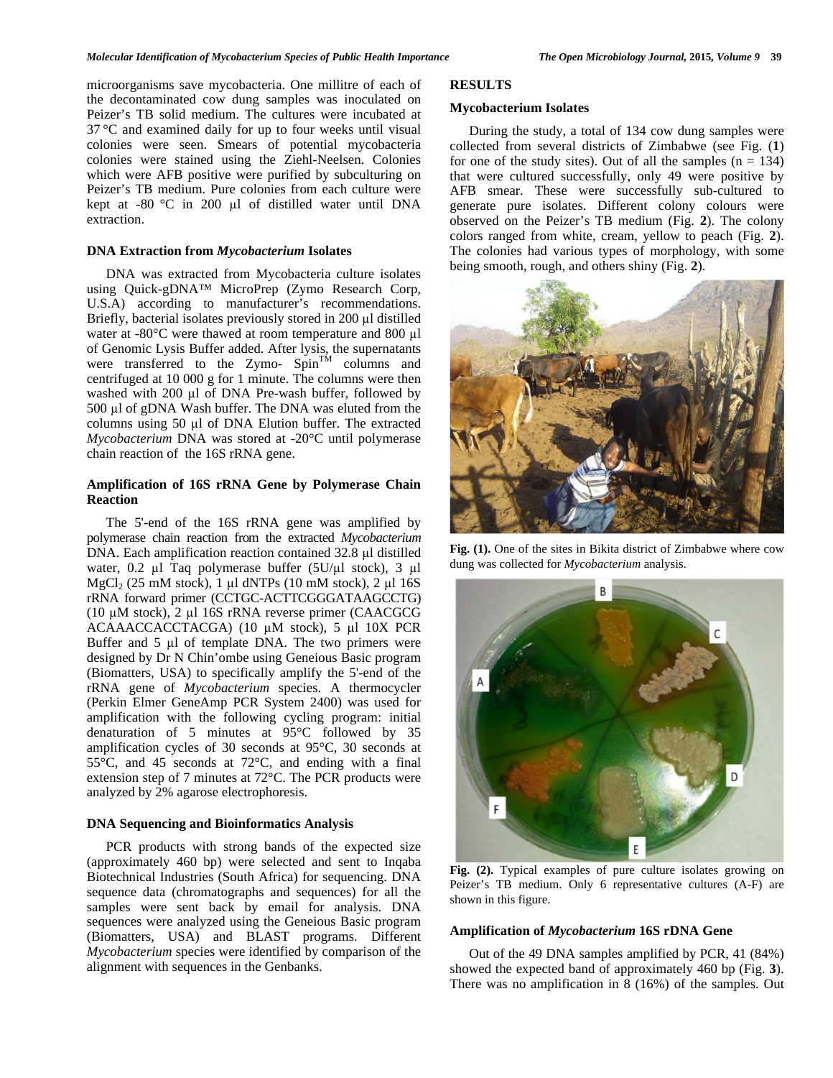microorganisms save mycobacteria. One millitre of each of the decontaminated cow dung samples was inoculated on Peizer's TB solid medium. The cultures were incubated at 37 °C and examined daily for up to four weeks until visual colonies were seen. Smears of potential mycobacteria colonies were stained using the Ziehl-Neelsen. Colonies which were AFB positive were purified by subculturing on Peizer's TB medium. Pure colonies from each culture were kept at  $-80$  °C in 200  $\mu$ l of distilled water until DNA extraction.

#### **DNA Extraction from** *Mycobacterium* **Isolates**

 DNA was extracted from Mycobacteria culture isolates using Quick-gDNA™ MicroPrep (Zymo Research Corp, U.S.A) according to manufacturer's recommendations. Briefly, bacterial isolates previously stored in  $200 \mu l$  distilled water at -80 $^{\circ}$ C were thawed at room temperature and 800 µl of Genomic Lysis Buffer added. After lysis, the supernatants were transferred to the Zymo-  $Spin<sup>TM</sup>$  columns and centrifuged at 10 000 g for 1 minute. The columns were then washed with  $200 \mu l$  of DNA Pre-wash buffer, followed by  $500 \mu l$  of gDNA Wash buffer. The DNA was eluted from the columns using 50 µl of DNA Elution buffer. The extracted *Mycobacterium* DNA was stored at -20°C until polymerase chain reaction of the 16S rRNA gene.

## **Amplification of 16S rRNA Gene by Polymerase Chain Reaction**

 The 5'-end of the 16S rRNA gene was amplified by polymerase chain reaction from the extracted *Mycobacterium* DNA. Each amplification reaction contained  $32.8 \mu$ l distilled water, 0.2  $\mu$ l Taq polymerase buffer (5U/ $\mu$ l stock), 3  $\mu$ l  $MgCl<sub>2</sub>$  (25 mM stock), 1 µl dNTPs (10 mM stock), 2 µl 16S rRNA forward primer (CCTGC-ACTTCGGGATAAGCCTG) (10  $\mu$ M stock), 2  $\mu$ 1 16S rRNA reverse primer (CAACGCG ACAAACCACCTACGA) (10 µM stock), 5 µl 10X PCR Buffer and  $5 \mu l$  of template DNA. The two primers were designed by Dr N Chin'ombe using Geneious Basic program (Biomatters, USA) to specifically amplify the 5'-end of the rRNA gene of *Mycobacterium* species. A thermocycler (Perkin Elmer GeneAmp PCR System 2400) was used for amplification with the following cycling program: initial denaturation of 5 minutes at 95°C followed by 35 amplification cycles of 30 seconds at 95°C, 30 seconds at 55°C, and 45 seconds at 72°C, and ending with a final extension step of 7 minutes at 72°C. The PCR products were analyzed by 2% agarose electrophoresis.

## **DNA Sequencing and Bioinformatics Analysis**

 PCR products with strong bands of the expected size (approximately 460 bp) were selected and sent to Inqaba Biotechnical Industries (South Africa) for sequencing. DNA sequence data (chromatographs and sequences) for all the samples were sent back by email for analysis. DNA sequences were analyzed using the Geneious Basic program (Biomatters, USA) and BLAST programs. Different *Mycobacterium* species were identified by comparison of the alignment with sequences in the Genbanks.

## **RESULTS**

## **Mycobacterium Isolates**

 During the study, a total of 134 cow dung samples were collected from several districts of Zimbabwe (see Fig. (**1**) for one of the study sites). Out of all the samples  $(n = 134)$ that were cultured successfully, only 49 were positive by AFB smear. These were successfully sub-cultured to generate pure isolates. Different colony colours were observed on the Peizer's TB medium (Fig. **2**). The colony colors ranged from white, cream, yellow to peach (Fig. **2**). The colonies had various types of morphology, with some being smooth, rough, and others shiny (Fig. **2**).



**Fig. (1).** One of the sites in Bikita district of Zimbabwe where cow dung was collected for *Mycobacterium* analysis.



**Fig. (2).** Typical examples of pure culture isolates growing on Peizer's TB medium. Only 6 representative cultures (A-F) are shown in this figure.

### **Amplification of** *Mycobacterium* **16S rDNA Gene**

 Out of the 49 DNA samples amplified by PCR, 41 (84%) showed the expected band of approximately 460 bp (Fig. **3**). There was no amplification in 8 (16%) of the samples. Out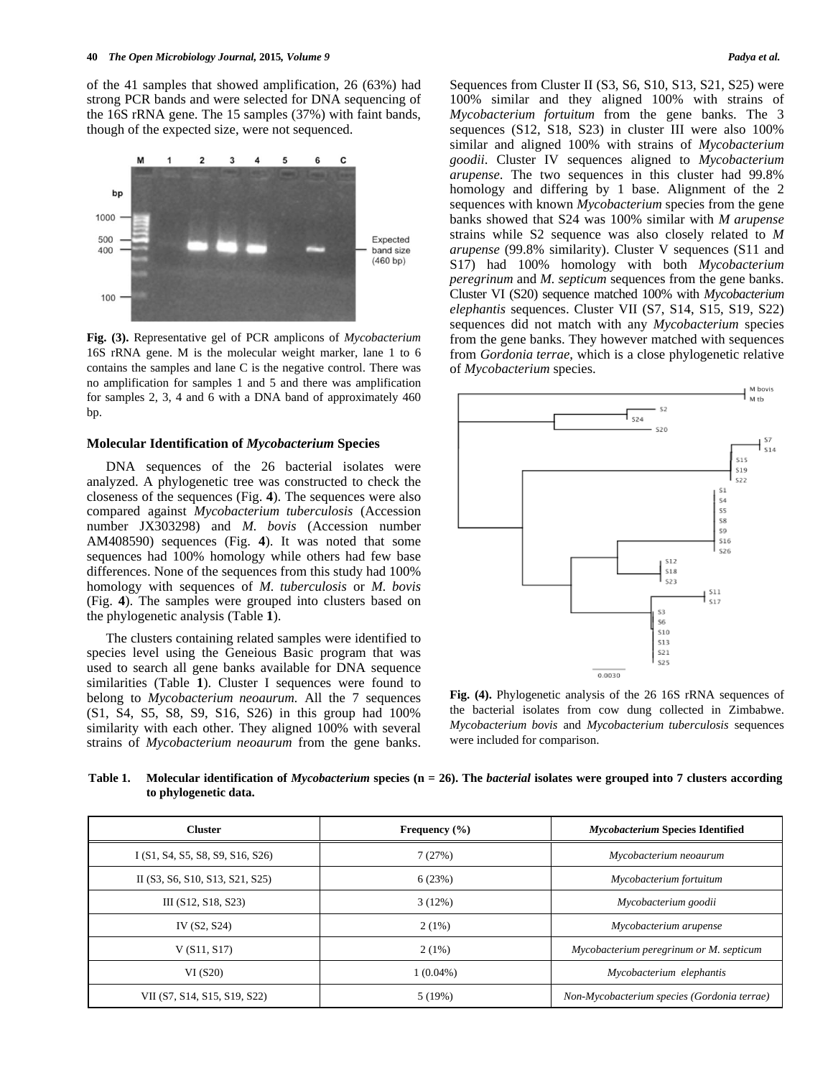of the 41 samples that showed amplification, 26 (63%) had strong PCR bands and were selected for DNA sequencing of the 16S rRNA gene. The 15 samples (37%) with faint bands, though of the expected size, were not sequenced.



**Fig. (3).** Representative gel of PCR amplicons of *Mycobacterium* 16S rRNA gene. M is the molecular weight marker, lane 1 to 6 contains the samples and lane C is the negative control. There was no amplification for samples 1 and 5 and there was amplification for samples 2, 3, 4 and 6 with a DNA band of approximately 460 bp.

#### **Molecular Identification of** *Mycobacterium* **Species**

 DNA sequences of the 26 bacterial isolates were analyzed. A phylogenetic tree was constructed to check the closeness of the sequences (Fig. **4**). The sequences were also compared against *Mycobacterium tuberculosis* (Accession number JX303298) and *M. bovis* (Accession number AM408590) sequences (Fig. **4**). It was noted that some sequences had 100% homology while others had few base differences. None of the sequences from this study had 100% homology with sequences of *M. tuberculosis* or *M. bovis* (Fig. **4**). The samples were grouped into clusters based on the phylogenetic analysis (Table **1**).

 The clusters containing related samples were identified to species level using the Geneious Basic program that was used to search all gene banks available for DNA sequence similarities (Table **1**). Cluster I sequences were found to belong to *Mycobacterium neoaurum.* All the 7 sequences (S1, S4, S5, S8, S9, S16, S26) in this group had 100% similarity with each other. They aligned 100% with several strains of *Mycobacterium neoaurum* from the gene banks.

Sequences from Cluster II (S3, S6, S10, S13, S21, S25) were 100% similar and they aligned 100% with strains of *Mycobacterium fortuitum* from the gene banks. The 3 sequences (S12, S18, S23) in cluster III were also 100% similar and aligned 100% with strains of *Mycobacterium goodii*. Cluster IV sequences aligned to *Mycobacterium arupense*. The two sequences in this cluster had 99.8% homology and differing by 1 base. Alignment of the 2 sequences with known *Mycobacterium* species from the gene banks showed that S24 was 100% similar with *M arupense* strains while S2 sequence was also closely related to *M arupense* (99.8% similarity). Cluster V sequences (S11 and S17) had 100% homology with both *Mycobacterium peregrinum* and *M. septicum* sequences from the gene banks. Cluster VI (S20) sequence matched 100% with *Mycobacterium elephantis* sequences. Cluster VII (S7, S14, S15, S19, S22) sequences did not match with any *Mycobacterium* species from the gene banks. They however matched with sequences from *Gordonia terrae*, which is a close phylogenetic relative of *Mycobacterium* species.



**Fig. (4).** Phylogenetic analysis of the 26 16S rRNA sequences of the bacterial isolates from cow dung collected in Zimbabwe. *Mycobacterium bovis* and *Mycobacterium tuberculosis* sequences were included for comparison.

**Table 1. Molecular identification of** *Mycobacterium* **species (n = 26). The** *bacterial* **isolates were grouped into 7 clusters according to phylogenetic data.** 

| <b>Cluster</b>                   | Frequency $(\% )$ | <b>Mycobacterium Species Identified</b>     |
|----------------------------------|-------------------|---------------------------------------------|
| I (S1, S4, S5, S8, S9, S16, S26) | 7(27%)            | Mycobacterium neoaurum                      |
| II (S3, S6, S10, S13, S21, S25)  | 6(23%)            | Mycobacterium fortuitum                     |
| III (S12, S18, S23)              | 3(12%)            | Mycobacterium goodii                        |
| IV (S2, S24)                     | $2(1\%)$          | Mycobacterium arupense                      |
| V(S11, S17)                      | $2(1\%)$          | Mycobacterium peregrinum or M. septicum     |
| VI(S20)                          | $1(0.04\%)$       | Mycobacterium elephantis                    |
| VII (S7, S14, S15, S19, S22)     | 5(19%)            | Non-Mycobacterium species (Gordonia terrae) |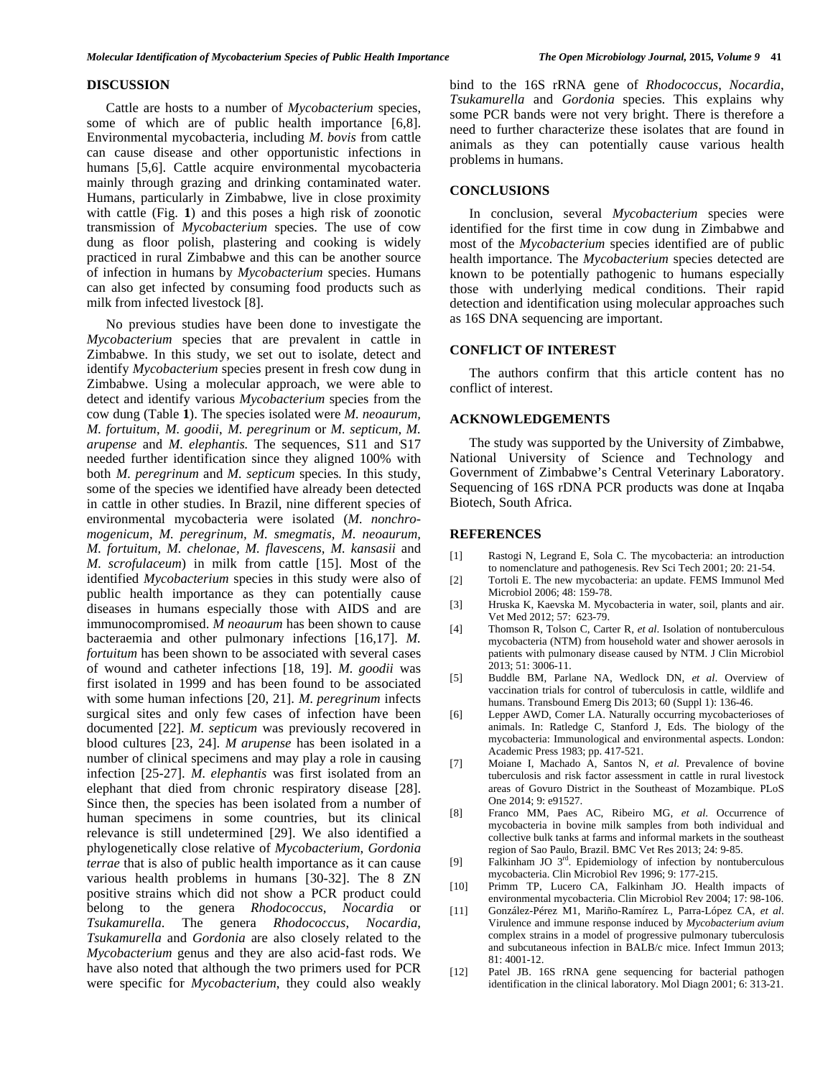#### **DISCUSSION**

 Cattle are hosts to a number of *Mycobacterium* species, some of which are of public health importance [6,8]. Environmental mycobacteria, including *M. bovis* from cattle can cause disease and other opportunistic infections in humans [5,6]. Cattle acquire environmental mycobacteria mainly through grazing and drinking contaminated water. Humans, particularly in Zimbabwe, live in close proximity with cattle (Fig. **1**) and this poses a high risk of zoonotic transmission of *Mycobacterium* species. The use of cow dung as floor polish, plastering and cooking is widely practiced in rural Zimbabwe and this can be another source of infection in humans by *Mycobacterium* species. Humans can also get infected by consuming food products such as milk from infected livestock [8].

 No previous studies have been done to investigate the *Mycobacterium* species that are prevalent in cattle in Zimbabwe. In this study, we set out to isolate, detect and identify *Mycobacterium* species present in fresh cow dung in Zimbabwe. Using a molecular approach, we were able to detect and identify various *Mycobacterium* species from the cow dung (Table **1**). The species isolated were *M. neoaurum, M. fortuitum*, *M. goodii*, *M. peregrinum* or *M. septicum, M. arupense* and *M. elephantis.* The sequences, S11 and S17 needed further identification since they aligned 100% with both *M. peregrinum* and *M. septicum* species*.* In this study, some of the species we identified have already been detected in cattle in other studies. In Brazil, nine different species of environmental mycobacteria were isolated (*M. nonchromogenicum, M. peregrinum, M. smegmatis, M. neoaurum, M. fortuitum, M. chelonae, M. flavescens, M. kansasii* and *M. scrofulaceum*) in milk from cattle [15]. Most of the identified *Mycobacterium* species in this study were also of public health importance as they can potentially cause diseases in humans especially those with AIDS and are immunocompromised. *M neoaurum* has been shown to cause bacteraemia and other pulmonary infections [16,17]. *M. fortuitum* has been shown to be associated with several cases of wound and catheter infections [18, 19]. *M. goodii* was first isolated in 1999 and has been found to be associated with some human infections [20, 21]. *M. peregrinum* infects surgical sites and only few cases of infection have been documented [22]. *M. septicum* was previously recovered in blood cultures [23, 24]. *M arupense* has been isolated in a number of clinical specimens and may play a role in causing infection [25-27]. *M. elephantis* was first isolated from an elephant that died from chronic respiratory disease [28]. Since then, the species has been isolated from a number of human specimens in some countries, but its clinical relevance is still undetermined [29]. We also identified a phylogenetically close relative of *Mycobacterium*, *Gordonia terrae* that is also of public health importance as it can cause various health problems in humans [30-32]. The 8 ZN positive strains which did not show a PCR product could belong to the genera *Rhodococcus*, *Nocardia* or *Tsukamurella*. The genera *Rhodococcus*, *Nocardia*, *Tsukamurella* and *Gordonia* are also closely related to the *Mycobacterium* genus and they are also acid-fast rods. We have also noted that although the two primers used for PCR were specific for *Mycobacterium*, they could also weakly

bind to the 16S rRNA gene of *Rhodococcus*, *Nocardia*, *Tsukamurella* and *Gordonia* species*.* This explains why some PCR bands were not very bright. There is therefore a need to further characterize these isolates that are found in animals as they can potentially cause various health problems in humans.

#### **CONCLUSIONS**

 In conclusion, several *Mycobacterium* species were identified for the first time in cow dung in Zimbabwe and most of the *Mycobacterium* species identified are of public health importance. The *Mycobacterium* species detected are known to be potentially pathogenic to humans especially those with underlying medical conditions. Their rapid detection and identification using molecular approaches such as 16S DNA sequencing are important.

#### **CONFLICT OF INTEREST**

 The authors confirm that this article content has no conflict of interest.

#### **ACKNOWLEDGEMENTS**

 The study was supported by the University of Zimbabwe, National University of Science and Technology and Government of Zimbabwe's Central Veterinary Laboratory. Sequencing of 16S rDNA PCR products was done at Inqaba Biotech, South Africa.

## **REFERENCES**

- [1] Rastogi N, Legrand E, Sola C. The mycobacteria: an introduction to nomenclature and pathogenesis. Rev Sci Tech 2001; 20: 21-54.
- [2] Tortoli E. The new mycobacteria: an update. FEMS Immunol Med Microbiol 2006; 48: 159-78.
- [3] Hruska K, Kaevska M. Mycobacteria in water, soil, plants and air. Vet Med 2012; 57: 623-79.
- [4] Thomson R, Tolson C, Carter R, *et al*. Isolation of nontuberculous mycobacteria (NTM) from household water and shower aerosols in patients with pulmonary disease caused by NTM. J Clin Microbiol  $2013: 51: 3006-11$ .
- [5] Buddle BM, Parlane NA, Wedlock DN, *et al*. Overview of vaccination trials for control of tuberculosis in cattle, wildlife and humans. Transbound Emerg Dis 2013; 60 (Suppl 1): 136-46.
- [6] Lepper AWD, Comer LA. Naturally occurring mycobacterioses of animals. In: Ratledge C, Stanford J, Eds. The biology of the mycobacteria: Immunological and environmental aspects. London: Academic Press 1983; pp. 417-521.
- [7] Moiane I, Machado A, Santos N, *et al.* Prevalence of bovine tuberculosis and risk factor assessment in cattle in rural livestock areas of Govuro District in the Southeast of Mozambique. PLoS One 2014; 9: e91527.
- [8] Franco MM, Paes AC, Ribeiro MG, *et al*. Occurrence of mycobacteria in bovine milk samples from both individual and collective bulk tanks at farms and informal markets in the southeast region of Sao Paulo, Brazil. BMC Vet Res 2013; 24: 9-85.
- [9] Falkinham JO 3<sup>rd</sup>. Epidemiology of infection by nontuberculous mycobacteria. Clin Microbiol Rev 1996; 9: 177-215.
- [10] Primm TP, Lucero CA, Falkinham JO. Health impacts of environmental mycobacteria. Clin Microbiol Rev 2004; 17: 98-106.
- [11] González-Pérez M1, Mariño-Ramírez L, Parra-López CA, *et al*. Virulence and immune response induced by *Mycobacterium avium* complex strains in a model of progressive pulmonary tuberculosis and subcutaneous infection in BALB/c mice. Infect Immun 2013; 81: 4001-12.
- [12] Patel JB. 16S rRNA gene sequencing for bacterial pathogen identification in the clinical laboratory. Mol Diagn 2001; 6: 313-21.